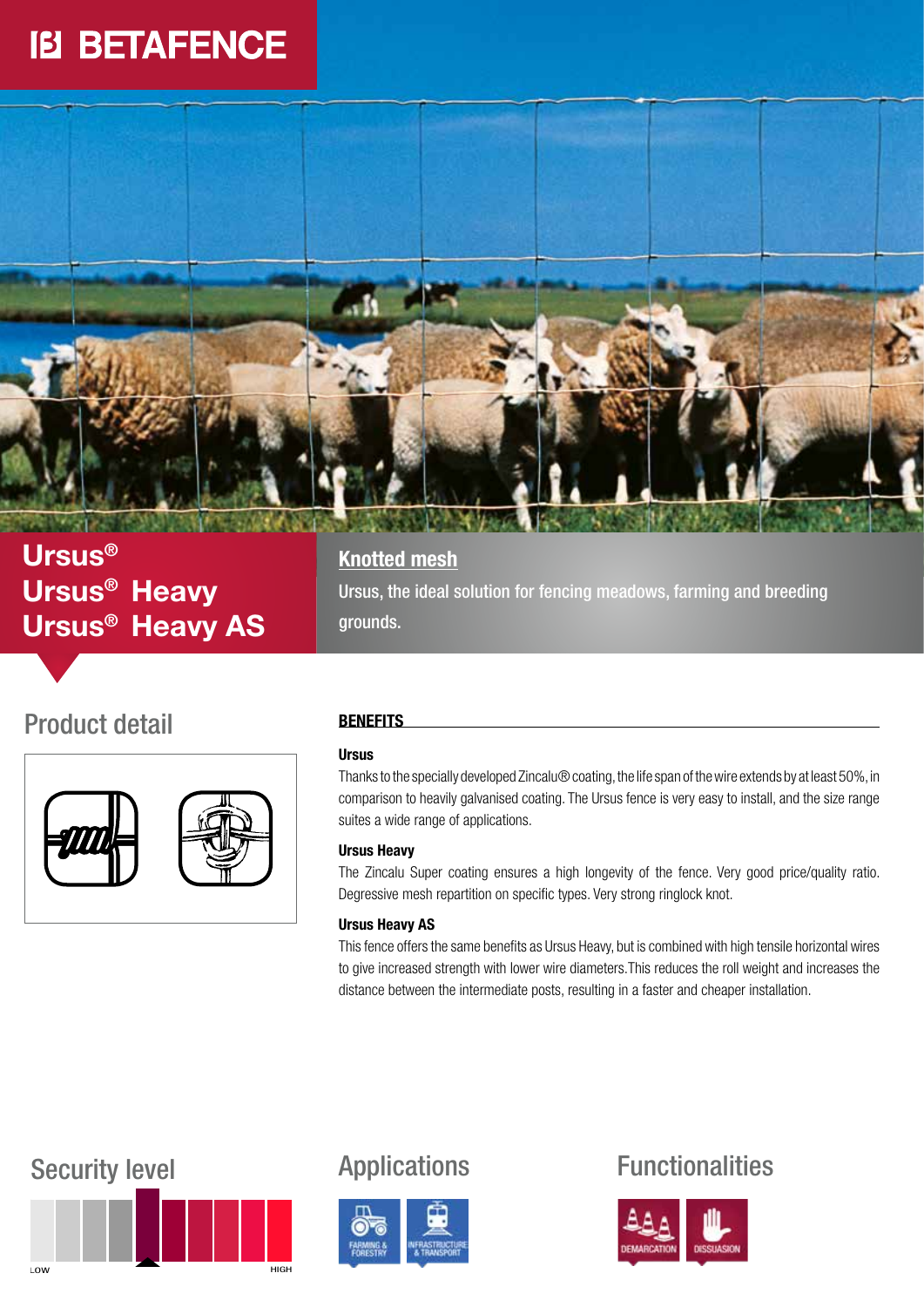# **IB BETAFENCE**



## Ursus® Ursus® Heavy Ursus® Heavy AS

### Product detail



### **Knotted mesh**

Ursus, the ideal solution for fencing meadows, farming and breeding grounds.

### **BENEFITS**

#### **Ursus**

Thanks to the specially developed Zincalu® coating, the life span of the wire extends by at least 50%, in comparison to heavily galvanised coating. The Ursus fence is very easy to install, and the size range suites a wide range of applications.

#### Ursus Heavy

The Zincalu Super coating ensures a high longevity of the fence. Very good price/quality ratio. Degressive mesh repartition on specific types. Very strong ringlock knot.

#### Ursus Heavy AS

This fence offers the same benefits as Ursus Heavy, but is combined with high tensile horizontal wires to give increased strength with lower wire diameters.This reduces the roll weight and increases the distance between the intermediate posts, resulting in a faster and cheaper installation.







## Security level **Applications** Functionalities